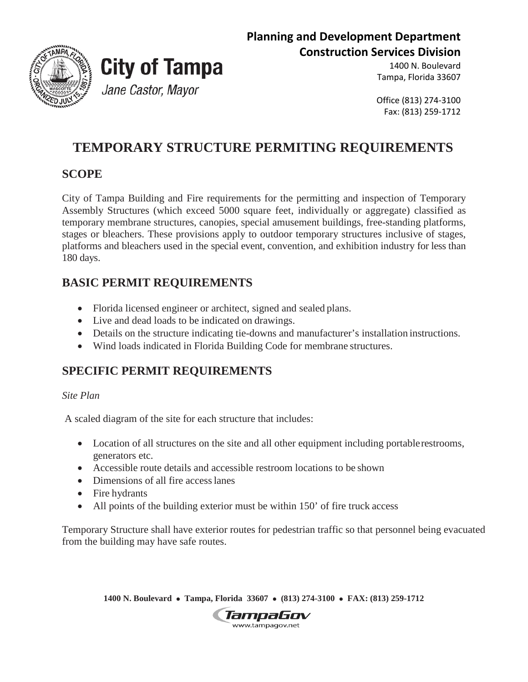



# **City of Tampa** Jane Castor, Mayor

1400 N. Boulevard Tampa, Florida 33607

Office (813) 274-3100 Fax: (813) 259-1712

## **TEMPORARY STRUCTURE PERMITING REQUIREMENTS**

### **SCOPE**

City of Tampa Building and Fire requirements for the permitting and inspection of Temporary Assembly Structures (which exceed 5000 square feet, individually or aggregate) classified as temporary membrane structures, canopies, special amusement buildings, free-standing platforms, stages or bleachers. These provisions apply to outdoor temporary structures inclusive of stages, platforms and bleachers used in the special event, convention, and exhibition industry for less than 180 days.

### **BASIC PERMIT REQUIREMENTS**

- Florida licensed engineer or architect, signed and sealed plans.
- Live and dead loads to be indicated on drawings.
- Details on the structure indicating tie-downs and manufacturer's installation instructions.
- Wind loads indicated in Florida Building Code for membrane structures.

### **SPECIFIC PERMIT REQUIREMENTS**

*Site Plan*

A scaled diagram of the site for each structure that includes:

- Location of all structures on the site and all other equipment including portable restrooms, generators etc.
- Accessible route details and accessible restroom locations to be shown
- Dimensions of all fire access lanes
- Fire hydrants
- All points of the building exterior must be within 150' of fire truck access

Temporary Structure shall have exterior routes for pedestrian traffic so that personnel being evacuated from the building may have safe routes.

**1400 N. Boulevard** • **Tampa, Florida 33607** • **(813) 274-3100** • **FAX: (813) 259-1712**